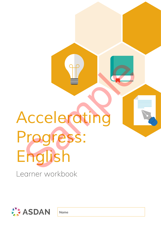# *Accelerating Progress: English* Learner workbook Nederating<br>Nederating<br>Progress:<br>English



**Name**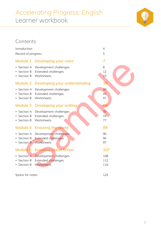# Accelerating Progress: English Learner workbook



### **Contents**

| Introduction                            |                                                                    | 4                 |
|-----------------------------------------|--------------------------------------------------------------------|-------------------|
| Record of progress                      |                                                                    | 5                 |
| Module 1                                | <b>Developing your voice</b>                                       | 7                 |
| • Section A<br>Section B<br>• Section B | Development challenges<br>Extended challenges<br>Worksheets        | 8<br>12<br>15     |
| <b>Module 2</b>                         | Developing your understanding                                      | 39                |
| Section A<br>Section B<br>• Section B   | Development challenges<br>Extended challenges<br>Worksheets        | 40<br>44<br>47    |
| <b>Module 3</b>                         | Developing your writing                                            | 69                |
| Section A<br>Section B<br>Section B     | Development challenges<br><b>Extended challenges</b><br>Worksheets | 70<br>74<br>77    |
|                                         | Module 4 Knowing the world                                         | 89                |
| Section A<br>Section B<br>• Section B   | Development challenges<br><b>Extended challenges</b><br>Worksheets | 90<br>94<br>97    |
| Module 5                                | <b>Knowing about fiction</b>                                       | 107               |
| • Section A<br>Section B<br>Section B   | Development challenges<br>Extended challenges<br>Worksheets        | 108<br>112<br>116 |
| Space for notes                         |                                                                    | 124               |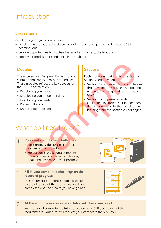# Introduction

#### **Course aims**

Accelerating Progress courses aim to:

- develop the essential subject-specific skills required to gain a good pass in GCSE examinations
- provide opportunities to practise these skills in contextual situations
- boost your grades and confidence in the subject

#### **Modules**

The Accelerating Progress: English course contains challenges across five modules. These modules reflect the key aspects of the GCSE specification.

- Developing your voice
- Developing your understanding
- Developing your writing
- Knowing the world
- Knowing about fiction

#### **Sections**

Each module is split into two sections – Section A and Section B:

- Section A comprises shorter challenges that develop the skills, knowledge and understanding required for the module topic
- Section B comprises extended challenges to stretch your independent thinking skills and further develop the learning from the section A challenges

# What do I need to do?

#### **Carry out your chosen challenges** 1

- **• For section A challenges:** file your evidence in your portfolio
- **• For section B challenges:** complete the worksheets provided and file any additional evidence in your portfolio

#### **Fill in your completed challenge on the record of progress** 2

Use the record of progress (page 5) to keep a careful record of the challenges you have completed and the credits you have gained.







#### **At the end of your course, your tutor will check your work**  3

Your tutor will complete the tutor record on page 5. If you have met the requirements, your tutor will request your certificate from ASDAN.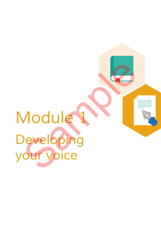# *Module 1 Developing your voice* Module 1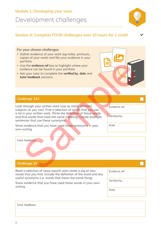#### **Module 1: Developing your voice**

# Development challenges



 $\checkmark$ 

#### **Section A: Complete FOUR challenges over 10 hours for 1 credit**

#### **For your chosen challenges**

- Gather evidence of your work (eg notes, printouts, copies of your work) and file your evidence in your portfolio
- Use the **evidence ref** box to highlight where your evidence can be found in your portfolio
- Ask your tutor to complete the **verified by**, **date** and **tutor feedback** sections



#### **Challenge 1A1**

Look through your written work (use as many different subjects as you can). Find a selection of words that you use a lot in your written work. Write the definition of these words and find words that have the same meaning. Create example sentences that use these synonyms.

Show evidence that you have used these synonyms in your own writing.

| Evidence ref |  |
|--------------|--|
| Verified by  |  |

Date

Tutor feedback

Evidence ref Verified by Read a selection of news reports and create a log of new words that you find. Include the definition of the word and any useful synonyms (i.e. words that mean the same thing). Show evidence that you have used these words in your own writing. **Challenge 1A2** The view of the view of the view of the view of the view of the view of the view of the view of the view of the view of the view of the view of the view of the view of the view of the view of the view of the view of the vi

Date

| Tutor feedback |
|----------------|
|----------------|

8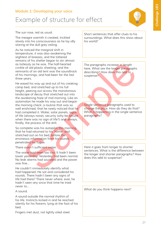#### **Module 1: Developing your voice**

# Example of structure for effect



The sun rose, red as usual.

The meagre warmth it created, trickled slowly into his consciousness as he lay idly staring at the dull grey ceiling.

As he noticed the marginal shift in temperature, it was also awakening the slightest of breezes, and the tattered remains of his shelter began to stir almost as listlessly as he was. The half-hearted crinkle of old plastic sheeting, and the remnants of an old tent was the soundtrack of his mornings, and had been for the last three years.

He eased his way up and out of his creaking camp bed, and stretched up to his full height, peering out across the monotonous landscape of decay that stretched out into the awakening haze of mid morning. Like an automaton he made his way out and began the morning check: a routine that was so well enshrined, that he rarely noticed that he had completed it. Water, solar panels, signs of life (always none), security (why be secure when there was no sign of life?) and always, finally, the process of the drill. and on the since of the parameterized to the best of the since the modern processes in length and the since when the since the modern processes in the six and the six of the six and the six of the six and the six and the s

So complete was his autopilot this morning, that he had returned to his 'home' and stretched out on his bed, before the erroneous information from his rounds penetrated his fugue.

There wasn't sufficient water.

The water had been too low. It hadn't been lower yesterday. Yesterday had been normal. No leak alarms had sounded and the power was fine…

He couldn't immediately identify what had happened. He sat and considered his rounds. There hadn't been any signs of life had there? There never where, ever, he hadn't seen any since that time he tried never to…

A sound.

A sound outside the normal rhythm of his life. Instincts kicked in and he reached silently for his firearm, lying at the foot of his bed.

Fingers met dust, not lightly oiled steel.

Short sentences that offer clues to his surroundings. What does this show about his world?

The paragraphs increase in length here. What are the longer paragraphs describing? How does this add to suspense?

Single sentence paragraphs used to change the pace. How do they do that? What is happening in the single sentence paragraphs?

Here it goes from longer to shorter sentences. What is the difference between the longer and shorter paragraphs? How does this add to suspense?

What do you think happens next?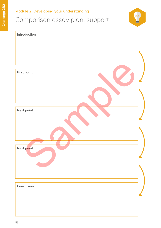## **Module 2: Developing your understanding**

# Comparison essay plan: support



| Introduction       |  |
|--------------------|--|
|                    |  |
|                    |  |
|                    |  |
| <b>First point</b> |  |
|                    |  |
|                    |  |
| Next point         |  |
|                    |  |
|                    |  |
|                    |  |
| Next point         |  |
|                    |  |
|                    |  |
|                    |  |
| Conclusion         |  |
|                    |  |
|                    |  |
|                    |  |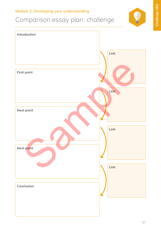#### **Module 2: Developing your understanding**

# Comparison essay plan: challenge



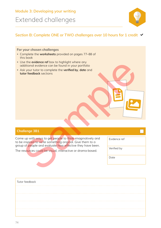## **Module 3: Developing your writing** Extended challenges



#### Section B: Complete ONE or TWO challenges over 10 hours for 1 credit  $\blacktriangleright$

#### **For your chosen challenges**

- Complete the **worksheets** provided on pages 77–88 of this book
- Use the **evidence ref** box to highlight where any additional evidence can be found in your portfolio
- Ask your tutor to complete the **verified by**, **date** and **tutor feedback** sections

#### **Challenge 3B1**

Come up with ways to get people to think imaginatively and to be inspired to write something original. Give them to a group of people and evaluate how effective they have been. se the evidence er fo box to highlight where any<br>diditional evidence can be found in your portfolio<br>sk your tutor to complete the verified by, date and<br>therefold by, date and<br>the research to write something prignal. Give t

The resources could be visual, interactive or drama-based.

BE

| Tutor feedback |  |
|----------------|--|
|                |  |
|                |  |
|                |  |
|                |  |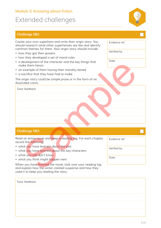#### **Module 5: Knowing about fiction**

# Extended challenges





# Evidence ref Verified by Date Tutor feedback Create your own superhero and write their origin story. You should research what other superheroes are like and identify common themes for them. Your origin story should include: • how they got their powers • how they developed a set of moral rules • a development of the character and the key things that make them heroic • an example of them having their morality tested • a sacrifice that they have had to make The origin story could be simple prose or in the form of an illustrated comic. development of the character and the key things that<br>the them heroic<br>example of them having their morality tested<br>contrince that they have had to make<br>trated contic.<br>The creducal contributions:<br>The creducal contributions:<br>

#### **Challenge 5B3**

Read an entire novel and keep a reading log. For each chapter, record the following:

- what you have learned about the plot
- what you have learned about the key characters
- what you still don't know
- what you think might happen next

When you have finished the novel, look over your reading log and explain how the writer created suspense and how they used it to keep you reading the story.

| Tutor feedback |  |
|----------------|--|
|                |  |
|                |  |
|                |  |
|                |  |

Evidence ref

Verified by

Date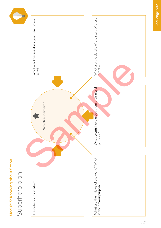Module 5: Knowing about fiction **Module 5: Knowing about fiction**

# Superhero plan

 $\begin{picture}(20,20) \put(0,0){\dashbox{0.5}(5,0){ }} \put(15,0){\circle{10}} \put(25,0){\circle{10}} \put(25,0){\circle{10}} \put(25,0){\circle{10}} \put(25,0){\circle{10}} \put(25,0){\circle{10}} \put(25,0){\circle{10}} \put(25,0){\circle{10}} \put(25,0){\circle{10}} \put(25,0){\circle{10}} \put(25,0){\circle{10}} \put(25,0){\circle{10}} \put(25,0){\circle{10}} \put(25,0$